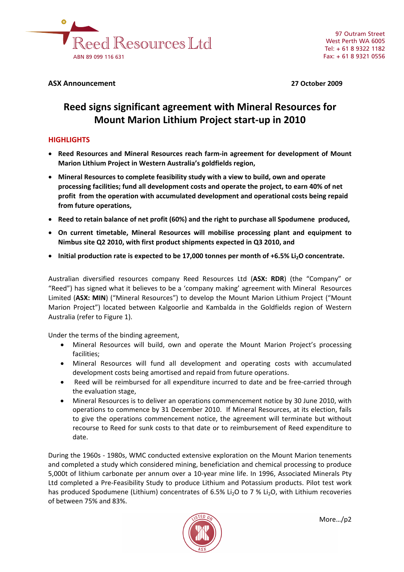

## **ASX Announcement 27 October 2009**

# **Reed signs significant agreement with Mineral Resources for Mount Marion Lithium Project start‐up in 2010**

# **HIGHLIGHTS**

- **Reed Resources and Mineral Resources reach farm‐in agreement for development of Mount Marion Lithium Project in Western Australia's goldfields region,**
- **Mineral Resources to complete feasibility study with a view to build, own and operate processing facilities; fund all development costs and operate the project, to earn 40% of net profit from the operation with accumulated development and operational costs being repaid from future operations,**
- **Reed to retain balance of net profit (60%) and the right to purchase all Spodumene produced,**
- **On current timetable, Mineral Resources will mobilise processing plant and equipment to Nimbus site Q2 2010, with first product shipments expected in Q3 2010, and**
- **Initial production rate is expected to be 17,000 tonnes per month of +6.5% Li2O concentrate.**

Australian diversified resources company Reed Resources Ltd (**ASX: RDR**) (the "Company" or "Reed") has signed what it believes to be a 'company making' agreement with Mineral Resources Limited (**ASX: MIN**) ("Mineral Resources") to develop the Mount Marion Lithium Project ("Mount Marion Project") located between Kalgoorlie and Kambalda in the Goldfields region of Western Australia (refer to Figure 1).

Under the terms of the binding agreement,

- Mineral Resources will build, own and operate the Mount Marion Project's processing facilities;
- Mineral Resources will fund all development and operating costs with accumulated development costs being amortised and repaid from future operations.
- Reed will be reimbursed for all expenditure incurred to date and be free‐carried through the evaluation stage,
- Mineral Resources is to deliver an operations commencement notice by 30 June 2010, with operations to commence by 31 December 2010. If Mineral Resources, at its election, fails to give the operations commencement notice, the agreement will terminate but without recourse to Reed for sunk costs to that date or to reimbursement of Reed expenditure to date.

During the 1960s ‐ 1980s, WMC conducted extensive exploration on the Mount Marion tenements and completed a study which considered mining, beneficiation and chemical processing to produce 5,000t of lithium carbonate per annum over a 10‐year mine life. In 1996, Associated Minerals Pty Ltd completed a Pre‐Feasibility Study to produce Lithium and Potassium products. Pilot test work has produced Spodumene (Lithium) concentrates of 6.5% Li<sub>2</sub>O to 7 % Li<sub>2</sub>O, with Lithium recoveries of between 75% and 83%.

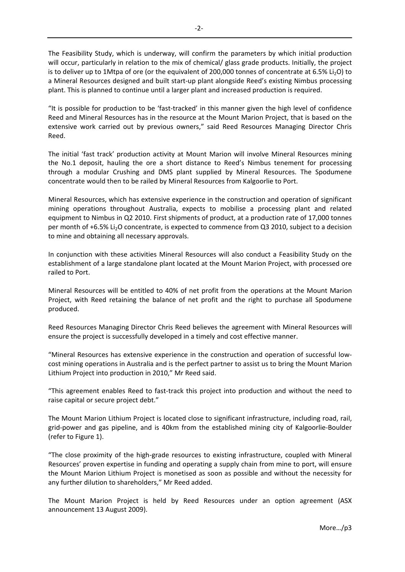The Feasibility Study, which is underway, will confirm the parameters by which initial production will occur, particularly in relation to the mix of chemical/ glass grade products. Initially, the project is to deliver up to 1Mtpa of ore (or the equivalent of 200,000 tonnes of concentrate at 6.5% Li<sub>2</sub>O) to a Mineral Resources designed and built start‐up plant alongside Reed's existing Nimbus processing plant. This is planned to continue until a larger plant and increased production is required.

"It is possible for production to be 'fast‐tracked' in this manner given the high level of confidence Reed and Mineral Resources has in the resource at the Mount Marion Project, that is based on the extensive work carried out by previous owners," said Reed Resources Managing Director Chris Reed.

The initial 'fast track' production activity at Mount Marion will involve Mineral Resources mining the No.1 deposit, hauling the ore a short distance to Reed's Nimbus tenement for processing through a modular Crushing and DMS plant supplied by Mineral Resources. The Spodumene concentrate would then to be railed by Mineral Resources from Kalgoorlie to Port.

Mineral Resources, which has extensive experience in the construction and operation of significant mining operations throughout Australia, expects to mobilise a processing plant and related equipment to Nimbus in Q2 2010. First shipments of product, at a production rate of 17,000 tonnes per month of +6.5% Li2O concentrate, is expected to commence from Q3 2010, subject to a decision to mine and obtaining all necessary approvals.

In conjunction with these activities Mineral Resources will also conduct a Feasibility Study on the establishment of a large standalone plant located at the Mount Marion Project, with processed ore railed to Port.

Mineral Resources will be entitled to 40% of net profit from the operations at the Mount Marion Project, with Reed retaining the balance of net profit and the right to purchase all Spodumene produced.

Reed Resources Managing Director Chris Reed believes the agreement with Mineral Resources will ensure the project is successfully developed in a timely and cost effective manner.

"Mineral Resources has extensive experience in the construction and operation of successful low‐ cost mining operations in Australia and is the perfect partner to assist us to bring the Mount Marion Lithium Project into production in 2010," Mr Reed said.

"This agreement enables Reed to fast‐track this project into production and without the need to raise capital or secure project debt."

The Mount Marion Lithium Project is located close to significant infrastructure, including road, rail, grid‐power and gas pipeline, and is 40km from the established mining city of Kalgoorlie‐Boulder (refer to Figure 1).

"The close proximity of the high‐grade resources to existing infrastructure, coupled with Mineral Resources' proven expertise in funding and operating a supply chain from mine to port, will ensure the Mount Marion Lithium Project is monetised as soon as possible and without the necessity for any further dilution to shareholders," Mr Reed added.

The Mount Marion Project is held by Reed Resources under an option agreement (ASX announcement 13 August 2009).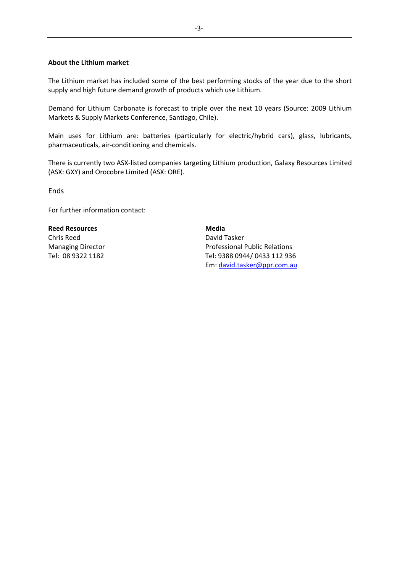## **About the Lithium market**

The Lithium market has included some of the best performing stocks of the year due to the short supply and high future demand growth of products which use Lithium.

Demand for Lithium Carbonate is forecast to triple over the next 10 years (Source: 2009 Lithium Markets & Supply Markets Conference, Santiago, Chile).

Main uses for Lithium are: batteries (particularly for electric/hybrid cars), glass, lubricants, pharmaceuticals, air‐conditioning and chemicals.

There is currently two ASX‐listed companies targeting Lithium production, Galaxy Resources Limited (ASX: GXY) and Orocobre Limited (ASX: ORE).

**Ends** 

For further information contact:

**Reed Resources** Chris Reed Managing Director Tel: 08 9322 1182

**Media** David Tasker Professional Public Relations Tel: 9388 0944/ 0433 112 936 Em: [david.tasker@ppr.com.au](mailto:david.tasker@ppr.com.au)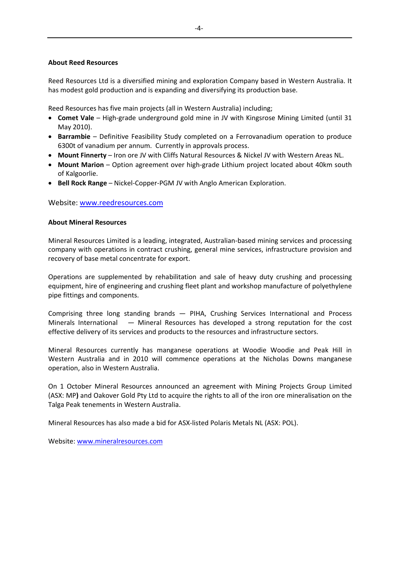#### **About Reed Resources**

Reed Resources Ltd is a diversified mining and exploration Company based in Western Australia. It has modest gold production and is expanding and diversifying its production base.

Reed Resources has five main projects (all in Western Australia) including;

- **Comet Vale** High‐grade underground gold mine in JV with Kingsrose Mining Limited (until 31 May 2010).
- **Barrambie** Definitive Feasibility Study completed on a Ferrovanadium operation to produce 6300t of vanadium per annum. Currently in approvals process.
- **Mount Finnerty** Iron ore JV with Cliffs Natural Resources & Nickel JV with Western Areas NL.
- **Mount Marion** Option agreement over high‐grade Lithium project located about 40km south of Kalgoorlie.
- **Bell Rock Range** Nickel‐Copper‐PGM JV with Anglo American Exploration.

## Website: [www.reedresources.com](http://www.reedresources.com/)

#### **About Mineral Resources**

Mineral Resources Limited is a leading, integrated, Australian‐based mining services and processing company with operations in contract crushing, general mine services, infrastructure provision and recovery of base metal concentrate for export.

Operations are supplemented by rehabilitation and sale of heavy duty crushing and processing equipment, hire of engineering and crushing fleet plant and workshop manufacture of polyethylene pipe fittings and components.

Comprising three long standing brands — PIHA, Crushing Services International and Process Minerals International - Mineral Resources has developed a strong reputation for the cost effective delivery of its services and products to the resources and infrastructure sectors.

Mineral Resources currently has manganese operations at Woodie Woodie and Peak Hill in Western Australia and in 2010 will commence operations at the Nicholas Downs manganese operation, also in Western Australia.

On 1 October Mineral Resources announced an agreement with Mining Projects Group Limited (ASX: MP**)** and Oakover Gold Pty Ltd to acquire the rights to all of the iron ore mineralisation on the Talga Peak tenements in Western Australia.

Mineral Resources has also made a bid for ASX‐listed Polaris Metals NL (ASX: POL).

Website: [www.mineralresources.com](http://www.mineralresources.com/)